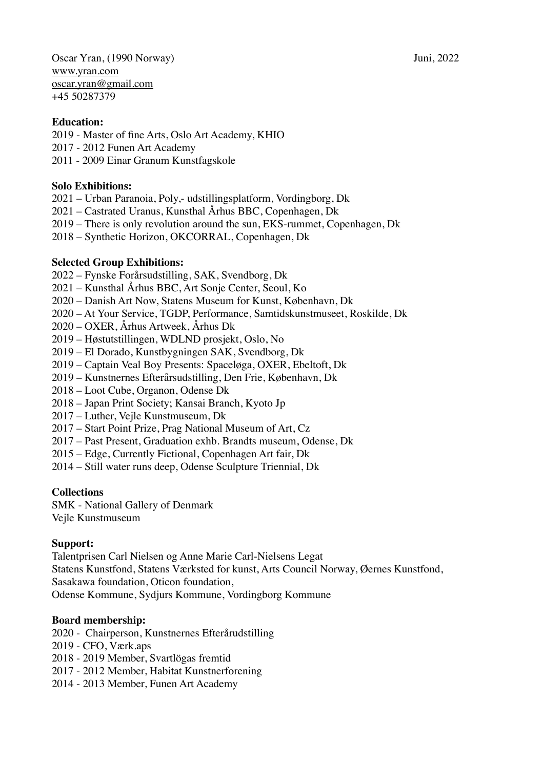Oscar Yran, (1990 Norway) Juni, 2022 [www.yran.com](http://www.yran.com) [oscar.yran@gmail.com](mailto:oscar.yran@gmail.com) +45 50287379

## **Education:**

- 2019 Master of fine Arts, Oslo Art Academy, KHIO
- 2017 2012 Funen Art Academy
- 2011 2009 Einar Granum Kunstfagskole

## **Solo Exhibitions:**

- 2021 Urban Paranoia, Poly,- udstillingsplatform, Vordingborg, Dk
- 2021 Castrated Uranus, Kunsthal Århus BBC, Copenhagen, Dk
- 2019 There is only revolution around the sun, EKS-rummet, Copenhagen, Dk
- 2018 Synthetic Horizon, OKCORRAL, Copenhagen, Dk

## **Selected Group Exhibitions:**

- 2022 Fynske Forårsudstilling, SAK, Svendborg, Dk
- 2021 Kunsthal Århus BBC, Art Sonje Center, Seoul, Ko
- 2020 Danish Art Now, Statens Museum for Kunst, København, Dk
- 2020 At Your Service, TGDP, Performance, Samtidskunstmuseet, Roskilde, Dk
- 2020 OXER, Århus Artweek, Århus Dk
- 2019 Høstutstillingen, WDLND prosjekt, Oslo, No
- 2019 El Dorado, Kunstbygningen SAK, Svendborg, Dk
- 2019 Captain Veal Boy Presents: Spaceløga, OXER, Ebeltoft, Dk
- 2019 Kunstnernes Efterårsudstilling, Den Frie, København, Dk
- 2018 Loot Cube, Organon, Odense Dk
- 2018 Japan Print Society; Kansai Branch, Kyoto Jp
- 2017 Luther, Vejle Kunstmuseum, Dk
- 2017 Start Point Prize, Prag National Museum of Art, Cz
- 2017 Past Present, Graduation exhb. Brandts museum, Odense, Dk
- 2015 Edge, Currently Fictional, Copenhagen Art fair, Dk
- 2014 Still water runs deep, Odense Sculpture Triennial, Dk

#### **Collections**

SMK - National Gallery of Denmark Vejle Kunstmuseum

# **Support:**

Talentprisen Carl Nielsen og Anne Marie Carl-Nielsens Legat Statens Kunstfond, Statens Værksted for kunst, Arts Council Norway, Øernes Kunstfond, Sasakawa foundation, Oticon foundation, Odense Kommune, Sydjurs Kommune, Vordingborg Kommune

# **Board membership:**

- 2020 Chairperson, Kunstnernes Efterårudstilling
- 2019 CFO, Værk.aps
- 2018 2019 Member, Svartlögas fremtid
- 2017 2012 Member, Habitat Kunstnerforening
- 2014 2013 Member, Funen Art Academy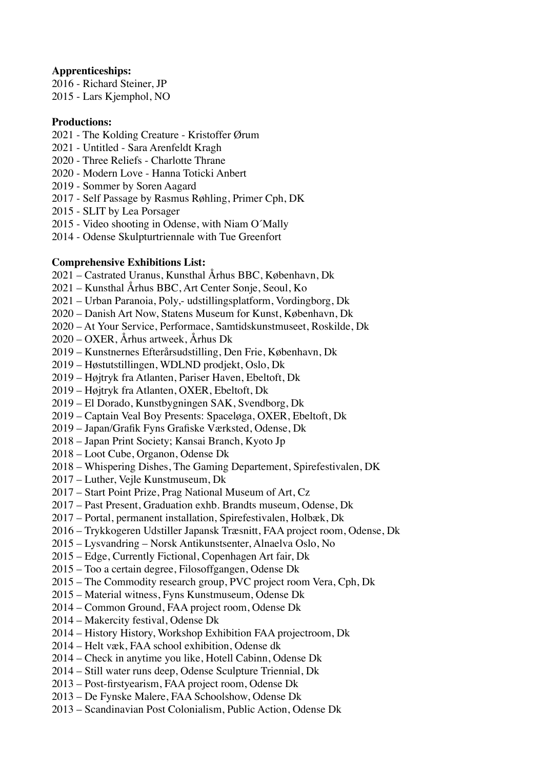## **Apprenticeships:**

2016 - Richard Steiner, JP 2015 - Lars Kjemphol, NO

## **Productions:**

- 2021 The Kolding Creature Kristoffer Ørum
- 2021 Untitled Sara Arenfeldt Kragh
- 2020 Three Reliefs Charlotte Thrane
- 2020 Modern Love Hanna Toticki Anbert
- 2019 Sommer by Soren Aagard
- 2017 Self Passage by Rasmus Røhling, Primer Cph, DK
- 2015 SLIT by Lea Porsager
- 2015 Video shooting in Odense, with Niam O´Mally
- 2014 Odense Skulpturtriennale with Tue Greenfort

## **Comprehensive Exhibitions List:**

- 2021 Castrated Uranus, Kunsthal Århus BBC, København, Dk
- 2021 Kunsthal Århus BBC, Art Center Sonje, Seoul, Ko
- 2021 Urban Paranoia, Poly,- udstillingsplatform, Vordingborg, Dk
- 2020 Danish Art Now, Statens Museum for Kunst, København, Dk
- 2020 At Your Service, Performace, Samtidskunstmuseet, Roskilde, Dk
- 2020 OXER, Århus artweek, Århus Dk
- 2019 Kunstnernes Efterårsudstilling, Den Frie, København, Dk
- 2019 Høstutstillingen, WDLND prodjekt, Oslo, Dk
- 2019 Højtryk fra Atlanten, Pariser Haven, Ebeltoft, Dk
- 2019 Højtryk fra Atlanten, OXER, Ebeltoft, Dk
- 2019 El Dorado, Kunstbygningen SAK, Svendborg, Dk
- 2019 Captain Veal Boy Presents: Spaceløga, OXER, Ebeltoft, Dk
- 2019 Japan/Grafik Fyns Grafiske Værksted, Odense, Dk
- 2018 Japan Print Society; Kansai Branch, Kyoto Jp
- 2018 Loot Cube, Organon, Odense Dk
- 2018 Whispering Dishes, The Gaming Departement, Spirefestivalen, DK
- 2017 Luther, Vejle Kunstmuseum, Dk
- 2017 Start Point Prize, Prag National Museum of Art, Cz
- 2017 Past Present, Graduation exhb. Brandts museum, Odense, Dk
- 2017 Portal, permanent installation, Spirefestivalen, Holbæk, Dk
- 2016 Trykkogeren Udstiller Japansk Træsnitt, FAA project room, Odense, Dk
- 2015 Lysvandring Norsk Antikunstsenter, Alnaelva Oslo, No
- 2015 Edge, Currently Fictional, Copenhagen Art fair, Dk
- 2015 Too a certain degree, Filosoffgangen, Odense Dk
- 2015 The Commodity research group, PVC project room Vera, Cph, Dk
- 2015 Material witness, Fyns Kunstmuseum, Odense Dk
- 2014 Common Ground, FAA project room, Odense Dk
- 2014 Makercity festival, Odense Dk
- 2014 History History, Workshop Exhibition FAA projectroom, Dk
- 2014 Helt væk, FAA school exhibition, Odense dk
- 2014 Check in anytime you like, Hotell Cabinn, Odense Dk
- 2014 Still water runs deep, Odense Sculpture Triennial, Dk
- 2013 Post-firstyearism, FAA project room, Odense Dk
- 2013 De Fynske Malere, FAA Schoolshow, Odense Dk
- 2013 Scandinavian Post Colonialism, Public Action, Odense Dk